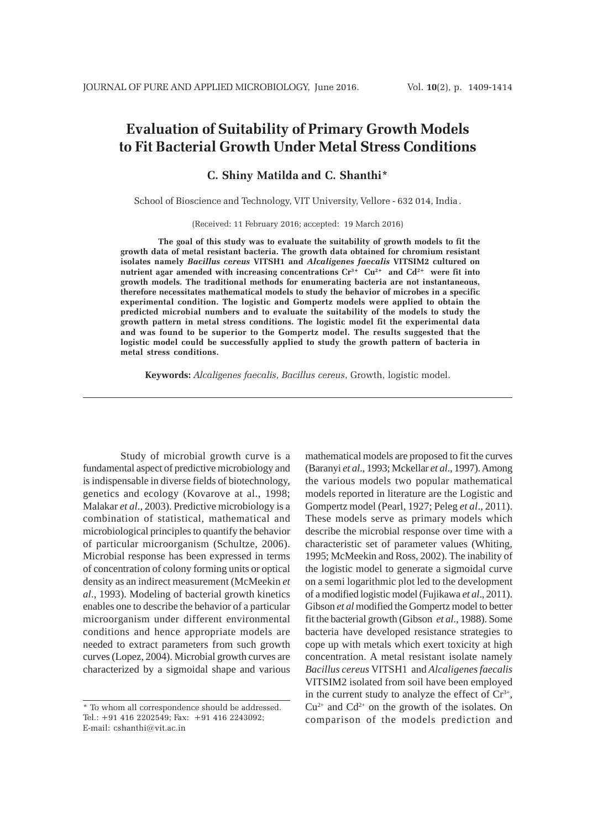# **Evaluation of Suitability of Primary Growth Models to Fit Bacterial Growth Under Metal Stress Conditions**

# **C. Shiny Matilda and C. Shanthi\***

School of Bioscience and Technology, VIT University, Vellore - 632 014, India .

(Received: 11 February 2016; accepted: 19 March 2016)

**The goal of this study was to evaluate the suitability of growth models to fit the growth data of metal resistant bacteria. The growth data obtained for chromium resistant isolates namely** *Bacillus cereus* **VITSH1 and** *Alcaligenes faecalis* **VITSIM2 cultured on nutrient agar amended with increasing concentrations Cr3+ Cu2+ and Cd2+ were fit into growth models. The traditional methods for enumerating bacteria are not instantaneous, therefore necessitates mathematical models to study the behavior of microbes in a specific experimental condition. The logistic and Gompertz models were applied to obtain the predicted microbial numbers and to evaluate the suitability of the models to study the growth pattern in metal stress conditions. The logistic model fit the experimental data and was found to be superior to the Gompertz model. The results suggested that the logistic model could be successfully applied to study the growth pattern of bacteria in metal stress conditions.**

**Keywords:** *Alcaligenes faecalis*, *Bacillus cereus*, Growth, logistic model.

Study of microbial growth curve is a fundamental aspect of predictive microbiology and is indispensable in diverse fields of biotechnology, genetics and ecology (Kovarove at al., 1998; Malakar *et al*., 2003). Predictive microbiology is a combination of statistical, mathematical and microbiological principles to quantify the behavior of particular microorganism (Schultze, 2006). Microbial response has been expressed in terms of concentration of colony forming units or optical density as an indirect measurement (McMeekin *et al*., 1993). Modeling of bacterial growth kinetics enables one to describe the behavior of a particular microorganism under different environmental conditions and hence appropriate models are needed to extract parameters from such growth curves (Lopez, 2004). Microbial growth curves are characterized by a sigmoidal shape and various

mathematical models are proposed to fit the curves (Baranyi *et al*., 1993; Mckellar *et al*., 1997). Among the various models two popular mathematical models reported in literature are the Logistic and Gompertz model (Pearl, 1927; Peleg *et al*., 2011). These models serve as primary models which describe the microbial response over time with a characteristic set of parameter values (Whiting, 1995; McMeekin and Ross, 2002). The inability of the logistic model to generate a sigmoidal curve on a semi logarithmic plot led to the development of a modified logistic model (Fujikawa *et al*., 2011). Gibson *et al* modified the Gompertz model to better fit the bacterial growth (Gibson *et al*., 1988). Some bacteria have developed resistance strategies to cope up with metals which exert toxicity at high concentration. A metal resistant isolate namely *Bacillus cereus* VITSH1 and *Alcaligenes faecalis* VITSIM2 isolated from soil have been employed in the current study to analyze the effect of  $Cr^{3+}$ ,  $Cu^{2+}$  and  $Cd^{2+}$  on the growth of the isolates. On comparison of the models prediction and

<sup>\*</sup> To whom all correspondence should be addressed. Tel.: +91 416 2202549; Fax: +91 416 2243092; E-mail: cshanthi@vit.ac.in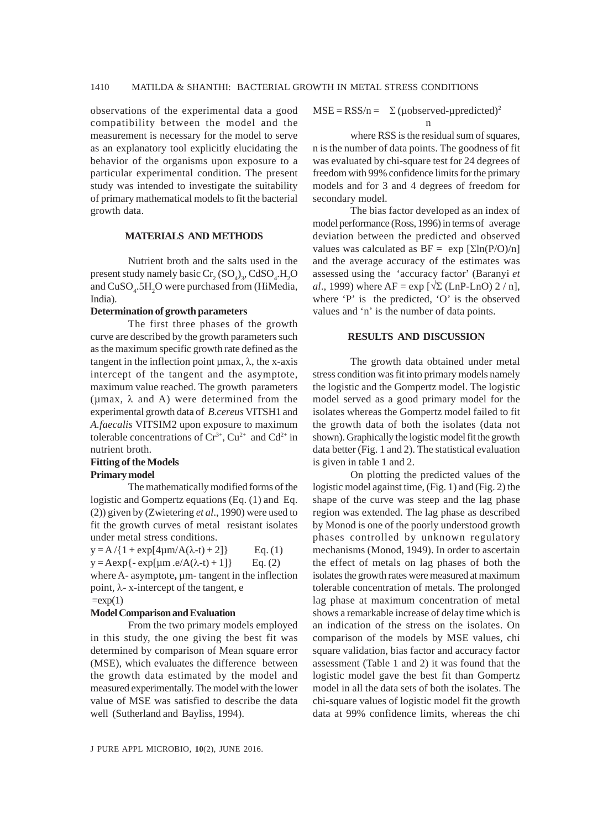observations of the experimental data a good compatibility between the model and the measurement is necessary for the model to serve as an explanatory tool explicitly elucidating the behavior of the organisms upon exposure to a particular experimental condition. The present study was intended to investigate the suitability of primary mathematical models to fit the bacterial growth data.

# **MATERIALS AND METHODS**

Nutrient broth and the salts used in the present study namely basic  $\text{Cr}_2(\text{SO}_4)_3$ , CdSO<sub>4</sub>.H<sub>2</sub>O and  $CuSO<sub>4</sub>$ .5H<sub>2</sub>O were purchased from (HiMedia, India).

#### **Determination of growth parameters**

The first three phases of the growth curve are described by the growth parameters such as the maximum specific growth rate defined as the tangent in the inflection point μmax,  $λ$ , the x-axis intercept of the tangent and the asymptote, maximum value reached. The growth parameters ( $\mu$ max,  $\lambda$  and A) were determined from the experimental growth data of *B.cereus* VITSH1 and *A.faecalis* VITSIM2 upon exposure to maximum tolerable concentrations of  $Cr^{3+}$ ,  $Cu^{2+}$  and  $Cd^{2+}$  in nutrient broth.

# **Fitting of the Models**

## **Primary model**

The mathematically modified forms of the logistic and Gompertz equations (Eq. (1) and Eq. (2)) given by (Zwietering *et al*., 1990) were used to fit the growth curves of metal resistant isolates under metal stress conditions.

 $y = A/{1 + \exp[4\mu m/A(\lambda-t) + 2]}$  Eq. (1)  $y = A \exp\{-\exp[\mu m . e/A(\lambda - t) + 1]\}$  Eq. (2) where A- asymptote,  $\mu$ m- tangent in the inflection point,  $\lambda$ - x-intercept of the tangent, e  $=exp(1)$ 

#### **Model Comparison and Evaluation**

From the two primary models employed in this study, the one giving the best fit was determined by comparison of Mean square error (MSE), which evaluates the difference between the growth data estimated by the model and measured experimentally. The model with the lower value of MSE was satisfied to describe the data well (Sutherland and Bayliss, 1994).

$$
MSE = RSS/n = \sum (\mu observed-\mu predicted)^2
$$
  
n

where RSS is the residual sum of squares, n is the number of data points. The goodness of fit was evaluated by chi-square test for 24 degrees of freedom with 99% confidence limits for the primary models and for 3 and 4 degrees of freedom for secondary model.

The bias factor developed as an index of model performance (Ross, 1996) in terms of average deviation between the predicted and observed values was calculated as  $BF = \exp \left[\sum ln(P/O)/n\right]$ and the average accuracy of the estimates was assessed using the 'accuracy factor' (Baranyi *et al*., 1999) where  $AF = exp \left[\sqrt{\Sigma (LnP-LnO) 2/n}\right]$ , where 'P' is the predicted, 'O' is the observed values and 'n' is the number of data points.

#### **RESULTS AND DISCUSSION**

The growth data obtained under metal stress condition was fit into primary models namely the logistic and the Gompertz model. The logistic model served as a good primary model for the isolates whereas the Gompertz model failed to fit the growth data of both the isolates (data not shown). Graphically the logistic model fit the growth data better (Fig. 1 and 2). The statistical evaluation is given in table 1 and 2.

On plotting the predicted values of the logistic model against time, (Fig. 1) and (Fig. 2) the shape of the curve was steep and the lag phase region was extended. The lag phase as described by Monod is one of the poorly understood growth phases controlled by unknown regulatory mechanisms (Monod, 1949). In order to ascertain the effect of metals on lag phases of both the isolates the growth rates were measured at maximum tolerable concentration of metals. The prolonged lag phase at maximum concentration of metal shows a remarkable increase of delay time which is an indication of the stress on the isolates. On comparison of the models by MSE values, chi square validation, bias factor and accuracy factor assessment (Table 1 and 2) it was found that the logistic model gave the best fit than Gompertz model in all the data sets of both the isolates. The chi-square values of logistic model fit the growth data at 99% confidence limits, whereas the chi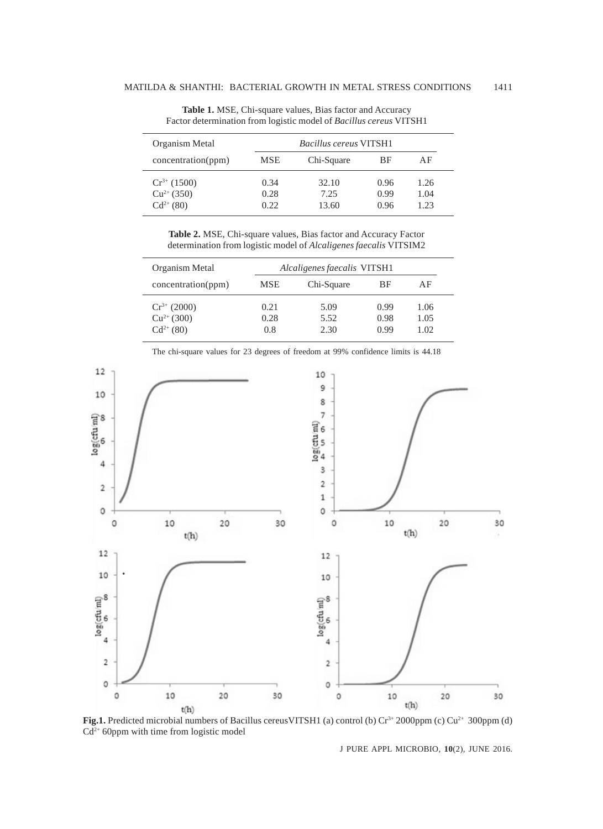| Organism Metal                                       |                      | <b>Bacillus cereus VITSH1</b> |                      |                     |
|------------------------------------------------------|----------------------|-------------------------------|----------------------|---------------------|
| concentration(ppm)                                   | <b>MSE</b>           | Chi-Square                    | BF                   | ΑF                  |
| $Cr^{3+} (1500)$<br>$Cu^{2+}$ (350)<br>$Cd^{2+}(80)$ | 0.34<br>0.28<br>0.22 | 32.10<br>7.25<br>13.60        | 0.96<br>0.99<br>0.96 | 1.26<br>1.04<br>123 |

**Table 1.** MSE, Chi-square values, Bias factor and Accuracy Factor determination from logistic model of *Bacillus cereus* VITSH1

**Table 2.** MSE, Chi-square values, Bias factor and Accuracy Factor determination from logistic model of *Alcaligenes faecalis* VITSIM2

| Organism Metal                                       |                     | Alcaligenes faecalis VITSH1 |                      |                      |  |  |
|------------------------------------------------------|---------------------|-----------------------------|----------------------|----------------------|--|--|
| concentration(ppm)                                   | <b>MSE</b>          | Chi-Square                  | ВF                   | ΑF                   |  |  |
| $Cr^{3+} (2000)$<br>$Cu^{2+} (300)$<br>$Cd^{2+}(80)$ | 0.21<br>0.28<br>0.8 | 5.09<br>5.52<br>2.30        | 0.99<br>0.98<br>0.99 | 1.06<br>1.05<br>1.02 |  |  |



The chi-square values for 23 degrees of freedom at 99% confidence limits is 44.18

Fig.1. Predicted microbial numbers of Bacillus cereusVITSH1 (a) control (b) Cr<sup>3+</sup> 2000ppm (c) Cu<sup>2+</sup> 300ppm (d)  $Cd^{2+}$  60ppm with time from logistic model

J PURE APPL MICROBIO*,* **10**(2), JUNE 2016.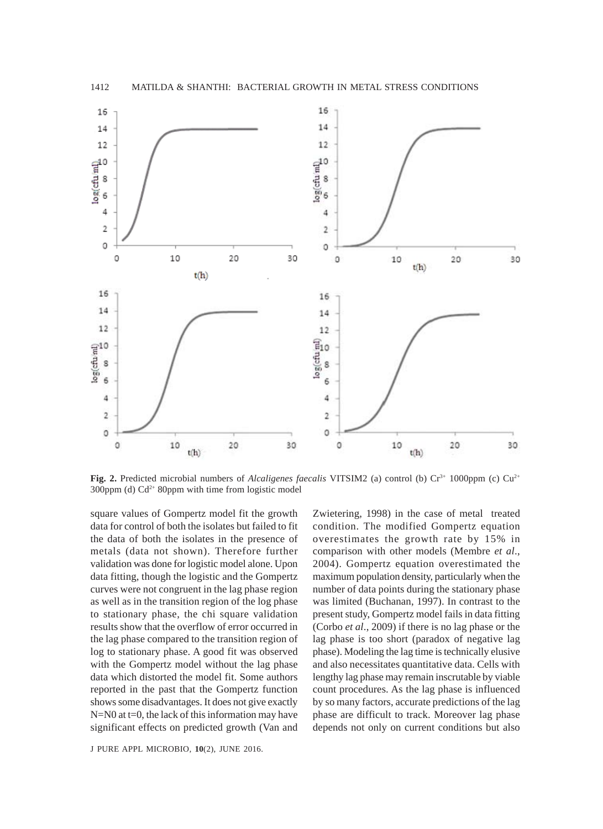

**Fig. 2.** Predicted microbial numbers of *Alcaligenes faecalis* VITSIM2 (a) control (b)  $Cr<sup>3+</sup> 1000$ ppm (c)  $Cu<sup>2+</sup>$ 300ppm (d)  $Cd^{2+}$  80ppm with time from logistic model

square values of Gompertz model fit the growth data for control of both the isolates but failed to fit the data of both the isolates in the presence of metals (data not shown). Therefore further validation was done for logistic model alone. Upon data fitting, though the logistic and the Gompertz curves were not congruent in the lag phase region as well as in the transition region of the log phase to stationary phase, the chi square validation results show that the overflow of error occurred in the lag phase compared to the transition region of log to stationary phase. A good fit was observed with the Gompertz model without the lag phase data which distorted the model fit. Some authors reported in the past that the Gompertz function shows some disadvantages. It does not give exactly  $N=N0$  at t=0, the lack of this information may have significant effects on predicted growth (Van and

J PURE APPL MICROBIO*,* **10**(2), JUNE 2016.

Zwietering, 1998) in the case of metal treated condition. The modified Gompertz equation overestimates the growth rate by 15% in comparison with other models (Membre *et al*., 2004). Gompertz equation overestimated the maximum population density, particularly when the number of data points during the stationary phase was limited (Buchanan, 1997). In contrast to the present study, Gompertz model fails in data fitting (Corbo *et al*., 2009) if there is no lag phase or the lag phase is too short (paradox of negative lag phase). Modeling the lag time is technically elusive and also necessitates quantitative data. Cells with lengthy lag phase may remain inscrutable by viable count procedures. As the lag phase is influenced by so many factors, accurate predictions of the lag phase are difficult to track. Moreover lag phase depends not only on current conditions but also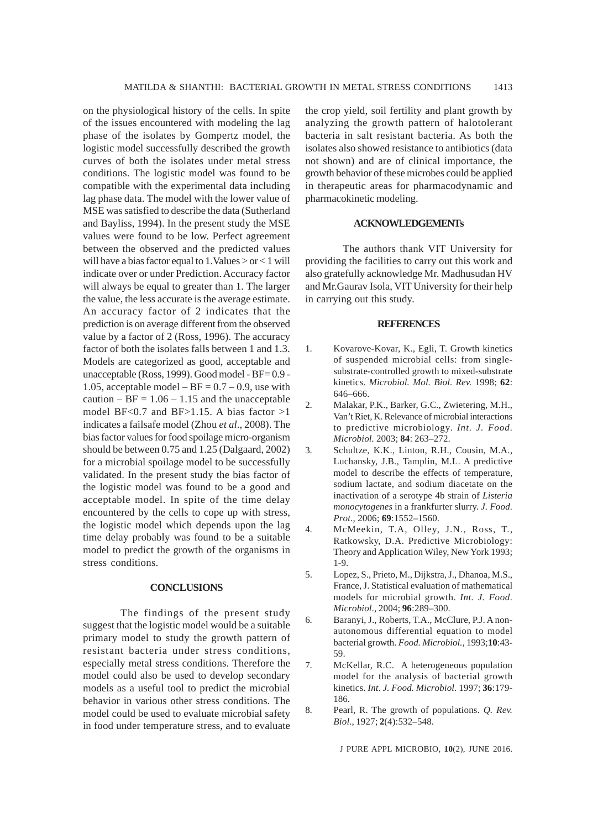on the physiological history of the cells. In spite of the issues encountered with modeling the lag phase of the isolates by Gompertz model, the logistic model successfully described the growth curves of both the isolates under metal stress conditions. The logistic model was found to be compatible with the experimental data including lag phase data. The model with the lower value of MSE was satisfied to describe the data (Sutherland and Bayliss, 1994). In the present study the MSE values were found to be low. Perfect agreement between the observed and the predicted values will have a bias factor equal to 1.Values > or < 1 will indicate over or under Prediction. Accuracy factor will always be equal to greater than 1. The larger the value, the less accurate is the average estimate. An accuracy factor of 2 indicates that the prediction is on average different from the observed value by a factor of 2 (Ross, 1996). The accuracy factor of both the isolates falls between 1 and 1.3. Models are categorized as good, acceptable and unacceptable (Ross, 1999). Good model - BF= 0.9 - 1.05, acceptable model –  $BF = 0.7 - 0.9$ , use with caution –  $BF = 1.06 - 1.15$  and the unacceptable model BF<0.7 and BF>1.15. A bias factor  $>1$ indicates a failsafe model (Zhou *et al*., 2008). The bias factor values for food spoilage micro-organism should be between 0.75 and 1.25 (Dalgaard, 2002) for a microbial spoilage model to be successfully validated. In the present study the bias factor of the logistic model was found to be a good and acceptable model. In spite of the time delay encountered by the cells to cope up with stress, the logistic model which depends upon the lag time delay probably was found to be a suitable model to predict the growth of the organisms in stress conditions.

# **CONCLUSIONS**

The findings of the present study suggest that the logistic model would be a suitable primary model to study the growth pattern of resistant bacteria under stress conditions, especially metal stress conditions. Therefore the model could also be used to develop secondary models as a useful tool to predict the microbial behavior in various other stress conditions. The model could be used to evaluate microbial safety in food under temperature stress, and to evaluate

the crop yield, soil fertility and plant growth by analyzing the growth pattern of halotolerant bacteria in salt resistant bacteria. As both the isolates also showed resistance to antibiotics (data not shown) and are of clinical importance, the growth behavior of these microbes could be applied in therapeutic areas for pharmacodynamic and pharmacokinetic modeling.

# **ACKNOWLEDGEMENTs**

The authors thank VIT University for providing the facilities to carry out this work and also gratefully acknowledge Mr. Madhusudan HV and Mr.Gaurav Isola, VIT University for their help in carrying out this study.

#### **REFERENCES**

- 1. Kovarove-Kovar, K., Egli, T. Growth kinetics of suspended microbial cells: from singlesubstrate-controlled growth to mixed-substrate kinetics. *Microbiol. Mol. Biol. Rev.* 1998; **62**: 646–666.
- 2. Malakar, P.K., Barker, G.C., Zwietering, M.H., Van't Riet, K. Relevance of microbial interactions to predictive microbiology. *Int. J. Food. Microbiol.* 2003; **84**: 263–272.
- 3. Schultze, K.K., Linton, R.H., Cousin, M.A., Luchansky, J.B., Tamplin, M.L. A predictive model to describe the effects of temperature, sodium lactate, and sodium diacetate on the inactivation of a serotype 4b strain of *Listeria monocytogenes* in a frankfurter slurry. *J. Food. Prot.,* 2006; **69**:1552–1560.
- 4. McMeekin, T.A, Olley, J.N., Ross, T., Ratkowsky, D.A. Predictive Microbiology: Theory and Application Wiley, New York 1993; 1-9.
- 5. Lopez, S., Prieto, M., Dijkstra, J., Dhanoa, M.S., France, J. Statistical evaluation of mathematical models for microbial growth. *Int. J. Food. Microbiol*., 2004; **96**:289–300.
- 6. Baranyi, J., Roberts, T.A., McClure, P.J. A nonautonomous differential equation to model bacterial growth. *Food. Microbiol.,* 1993;**10**:43- 59.
- 7. McKellar, R.C. A heterogeneous population model for the analysis of bacterial growth kinetics. *Int. J. Food. Microbiol.* 1997; **36**:179- 186.
- 8. Pearl, R. The growth of populations. *Q. Rev. Biol*., 1927; **2**(4):532–548.

J PURE APPL MICROBIO*,* **10**(2), JUNE 2016.